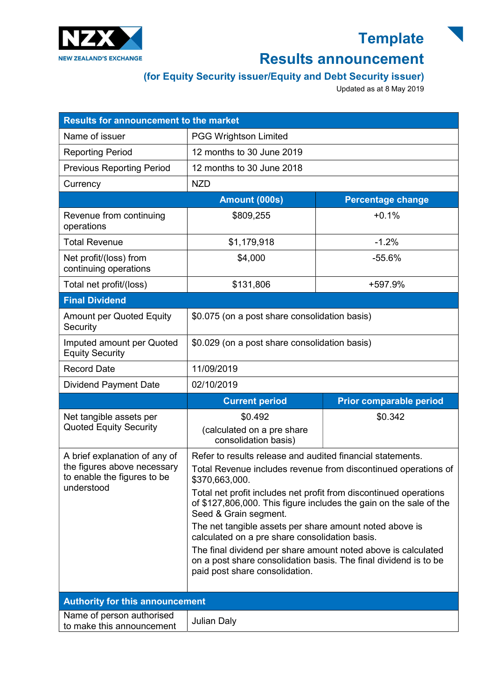

## **Template**

## Results announcement

## (for Equity Security issuer/Equity and Debt Security issuer)

Updated as at 8 May 2019

| <b>Results for announcement to the market</b>                            |                                                                                                                                                                     |                                |
|--------------------------------------------------------------------------|---------------------------------------------------------------------------------------------------------------------------------------------------------------------|--------------------------------|
| Name of issuer                                                           | <b>PGG Wrightson Limited</b>                                                                                                                                        |                                |
| <b>Reporting Period</b>                                                  | 12 months to 30 June 2019                                                                                                                                           |                                |
| <b>Previous Reporting Period</b>                                         | 12 months to 30 June 2018                                                                                                                                           |                                |
| Currency                                                                 | <b>NZD</b>                                                                                                                                                          |                                |
|                                                                          | Amount (000s)                                                                                                                                                       | <b>Percentage change</b>       |
| Revenue from continuing<br>operations                                    | \$809,255                                                                                                                                                           | $+0.1%$                        |
| <b>Total Revenue</b>                                                     | \$1,179,918                                                                                                                                                         | $-1.2%$                        |
| Net profit/(loss) from<br>continuing operations                          | \$4,000                                                                                                                                                             | $-55.6%$                       |
| Total net profit/(loss)                                                  | \$131,806                                                                                                                                                           | +597.9%                        |
| <b>Final Dividend</b>                                                    |                                                                                                                                                                     |                                |
| <b>Amount per Quoted Equity</b><br>Security                              | \$0.075 (on a post share consolidation basis)                                                                                                                       |                                |
| Imputed amount per Quoted<br><b>Equity Security</b>                      | \$0.029 (on a post share consolidation basis)                                                                                                                       |                                |
| <b>Record Date</b>                                                       | 11/09/2019                                                                                                                                                          |                                |
| <b>Dividend Payment Date</b>                                             | 02/10/2019                                                                                                                                                          |                                |
|                                                                          | <b>Current period</b>                                                                                                                                               | <b>Prior comparable period</b> |
| Net tangible assets per<br><b>Quoted Equity Security</b>                 | \$0.492<br>(calculated on a pre share<br>consolidation basis)                                                                                                       | \$0.342                        |
| A brief explanation of any of                                            | Refer to results release and audited financial statements.                                                                                                          |                                |
| the figures above necessary<br>to enable the figures to be<br>understood | Total Revenue includes revenue from discontinued operations of<br>\$370,663,000.                                                                                    |                                |
|                                                                          | Total net profit includes net profit from discontinued operations<br>of \$127,806,000. This figure includes the gain on the sale of the<br>Seed & Grain segment.    |                                |
|                                                                          | The net tangible assets per share amount noted above is<br>calculated on a pre share consolidation basis.                                                           |                                |
|                                                                          | The final dividend per share amount noted above is calculated<br>on a post share consolidation basis. The final dividend is to be<br>paid post share consolidation. |                                |
| <b>Authority for this announcement</b>                                   |                                                                                                                                                                     |                                |
| Name of person authorised<br>to make this announcement                   | <b>Julian Daly</b>                                                                                                                                                  |                                |